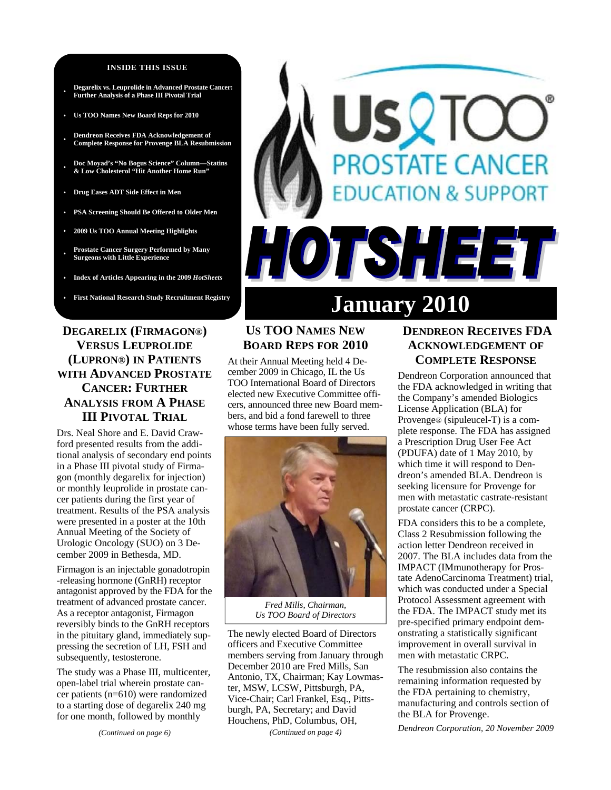#### **INSIDE THIS ISSUE**

- **Degarelix vs. Leuprolide in Advanced Prostate Cancer: Further Analysis of a Phase III Pivotal Trial**
- **Us TOO Names New Board Reps for 2010**
- **Dendreon Receives FDA Acknowledgement of Complete Response for Provenge BLA Resubmission**
- **Doc Moyad's "No Bogus Science" Column—Statins & Low Cholesterol "Hit Another Home Run"**
- **Drug Eases ADT Side Effect in Men**
- **PSA Screening Should Be Offered to Older Men**
- **2009 Us TOO Annual Meeting Highlights**
- **Prostate Cancer Surgery Performed by Many Surgeons with Little Experience**
- **Index of Articles Appearing in the 2009** *HotSheets*
- 

## **DEGARELIX (FIRMAGON®) VERSUS LEUPROLIDE (LUPRON®) IN PATIENTS WITH ADVANCED PROSTATE CANCER: FURTHER ANALYSIS FROM A PHASE III PIVOTAL TRIAL**

Drs. Neal Shore and E. David Crawford presented results from the additional analysis of secondary end points in a Phase III pivotal study of Firmagon (monthly degarelix for injection) or monthly leuprolide in prostate cancer patients during the first year of treatment. Results of the PSA analysis were presented in a poster at the 10th Annual Meeting of the Society of Urologic Oncology (SUO) on 3 December 2009 in Bethesda, MD.

Firmagon is an injectable gonadotropin -releasing hormone (GnRH) receptor antagonist approved by the FDA for the treatment of advanced prostate cancer. As a receptor antagonist, Firmagon reversibly binds to the GnRH receptors in the pituitary gland, immediately suppressing the secretion of LH, FSH and subsequently, testosterone.

The study was a Phase III, multicenter, open-label trial wherein prostate cancer patients (n=610) were randomized to a starting dose of degarelix 240 mg for one month, followed by monthly

#### *(Continued on page 6)*

# First National Research Study Recruitment Registry January 2010

HOTSHEET

**PROSTATE CANCER** 

**DUCATION & SUPPORT** 

# **US TOO NAMES NEW BOARD REPS FOR 2010**

At their Annual Meeting held 4 December 2009 in Chicago, IL the Us TOO International Board of Directors elected new Executive Committee officers, announced three new Board members, and bid a fond farewell to three whose terms have been fully served.



*Fred Mills, Chairman, Us TOO Board of Directors* 

The newly elected Board of Directors officers and Executive Committee members serving from January through December 2010 are Fred Mills, San Antonio, TX, Chairman; Kay Lowmaster, MSW, LCSW, Pittsburgh, PA, Vice-Chair; Carl Frankel, Esq., Pittsburgh, PA, Secretary; and David Houchens, PhD, Columbus, OH, *(Continued on page 4)* 

## **DENDREON RECEIVES FDA ACKNOWLEDGEMENT OF COMPLETE RESPONSE**

Dendreon Corporation announced that the FDA acknowledged in writing that the Company's amended Biologics License Application (BLA) for Provenge® (sipuleucel-T) is a complete response. The FDA has assigned a Prescription Drug User Fee Act (PDUFA) date of 1 May 2010, by which time it will respond to Dendreon's amended BLA. Dendreon is seeking licensure for Provenge for men with metastatic castrate-resistant prostate cancer (CRPC).

FDA considers this to be a complete, Class 2 Resubmission following the action letter Dendreon received in 2007. The BLA includes data from the IMPACT (IMmunotherapy for Prostate AdenoCarcinoma Treatment) trial, which was conducted under a Special Protocol Assessment agreement with the FDA. The IMPACT study met its pre-specified primary endpoint demonstrating a statistically significant improvement in overall survival in men with metastatic CRPC.

The resubmission also contains the remaining information requested by the FDA pertaining to chemistry, manufacturing and controls section of the BLA for Provenge.

*Dendreon Corporation, 20 November 2009*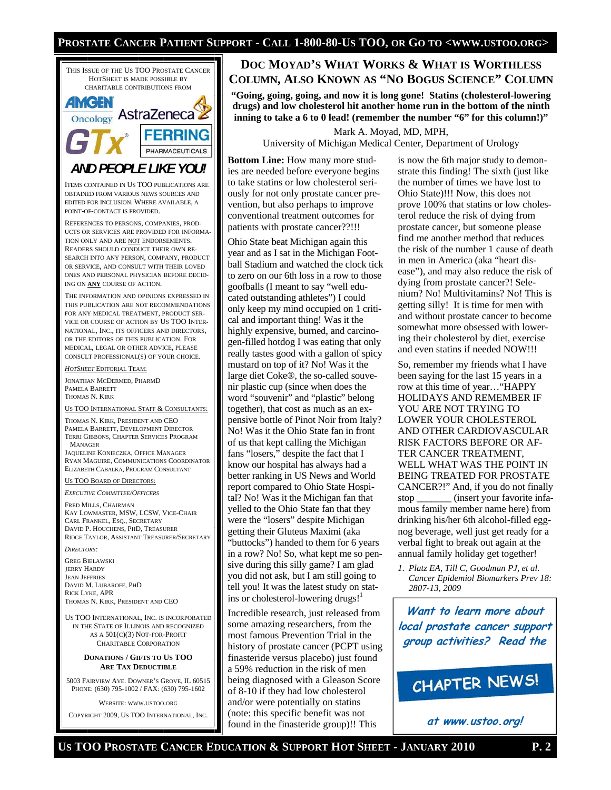## **PROSTATE CANCER PATIENT SUPPORT - CALL 1-800-80-US TOO, OR GO TO <WWW.USTOO.ORG>**



## **DOC MOYAD'S WHAT WORKS & WHAT IS WORTHLESS COLUMN, ALSO KNOWN AS "NO BOGUS SCIENCE" COLUMN**

**"Going, going, going, and now it is long gone! Statins (cholesterol-lowering drugs) and low cholesterol hit another home run in the bottom of the ninth inning to take a 6 to 0 lead! (remember the number "6" for this column!)"** 

Mark A. Moyad, MD, MPH,

University of Michigan Medical Center, Department of Urology

**Bottom Line:** How many more studies are needed before everyone begins to take statins or low cholesterol seriously for not only prostate cancer prevention, but also perhaps to improve conventional treatment outcomes for patients with prostate cancer??!!!

Ohio State beat Michigan again this year and as I sat in the Michigan Football Stadium and watched the clock tick to zero on our 6th loss in a row to those goofballs (I meant to say "well educated outstanding athletes") I could only keep my mind occupied on 1 critical and important thing! Was it the highly expensive, burned, and carcinogen-filled hotdog I was eating that only really tastes good with a gallon of spicy mustard on top of it? No! Was it the large diet Coke®, the so-called souvenir plastic cup (since when does the word "souvenir" and "plastic" belong together), that cost as much as an expensive bottle of Pinot Noir from Italy? No! Was it the Ohio State fan in front of us that kept calling the Michigan fans "losers," despite the fact that I know our hospital has always had a better ranking in US News and World report compared to Ohio State Hospital? No! Was it the Michigan fan that yelled to the Ohio State fan that they were the "losers" despite Michigan getting their Gluteus Maximi (aka "buttocks") handed to them for 6 years in a row? No! So, what kept me so pensive during this silly game? I am glad you did not ask, but I am still going to tell you! It was the latest study on statins or cholesterol-lowering drugs!<sup>1</sup>

Incredible research, just released from some amazing researchers, from the most famous Prevention Trial in the history of prostate cancer (PCPT using finasteride versus placebo) just found a 59% reduction in the risk of men being diagnosed with a Gleason Score of 8-10 if they had low cholesterol and/or were potentially on statins (note: this specific benefit was not found in the finasteride group)!! This

is now the 6th major study to demonstrate this finding! The sixth (just like the number of times we have lost to Ohio State)!!! Now, this does not prove 100% that statins or low cholesterol reduce the risk of dying from prostate cancer, but someone please find me another method that reduces the risk of the number 1 cause of death in men in America (aka "heart disease"), and may also reduce the risk of dying from prostate cancer?! Selenium? No! Multivitamins? No! This is getting silly! It is time for men with and without prostate cancer to become somewhat more obsessed with lowering their cholesterol by diet, exercise and even statins if needed NOW!!!

So, remember my friends what I have been saying for the last 15 years in a row at this time of year…"HAPPY HOLIDAYS AND REMEMBER IF YOU ARE NOT TRYING TO LOWER YOUR CHOLESTEROL AND OTHER CARDIOVASCULAR RISK FACTORS BEFORE OR AF-TER CANCER TREATMENT, WELL WHAT WAS THE POINT IN BEING TREATED FOR PROSTATE CANCER?!" And, if you do not finally stop (insert your favorite infamous family member name here) from drinking his/her 6th alcohol-filled eggnog beverage, well just get ready for a verbal fight to break out again at the annual family holiday get together!

*1. Platz EA, Till C, Goodman PJ, et al. Cancer Epidemiol Biomarkers Prev 18: 2807-13, 2009* 

**Want to learn more about local prostate cancer support group activities? Read the**

# CHAPTER NEWS!

**at www.ustoo.org!**

## **US TOO PROSTATE CANCER EDUCATION & SUPPORT HOT SHEET - JANUARY 2010 P. 2**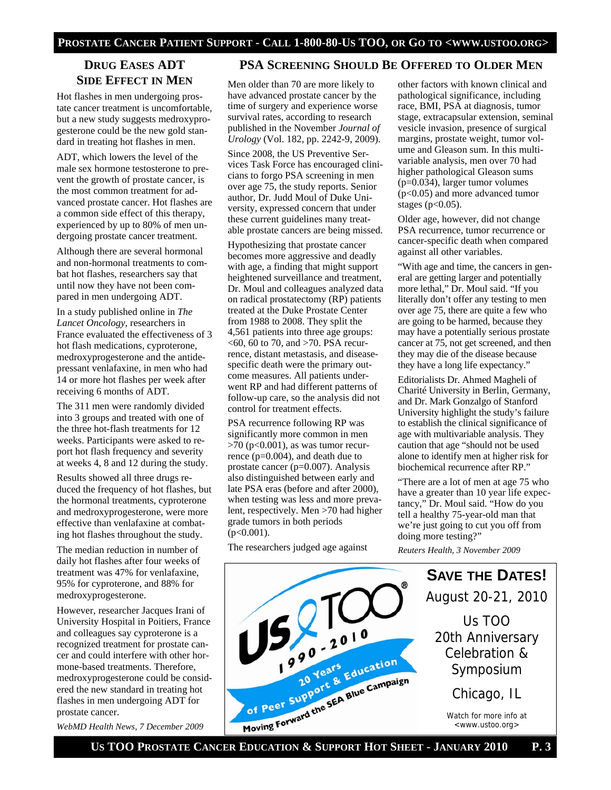## **DRUG EASES ADT SIDE EFFECT IN MEN**

Hot flashes in men undergoing prostate cancer treatment is uncomfortable, but a new study suggests medroxyprogesterone could be the new gold standard in treating hot flashes in men.

ADT, which lowers the level of the male sex hormone testosterone to prevent the growth of prostate cancer, is the most common treatment for advanced prostate cancer. Hot flashes are a common side effect of this therapy, experienced by up to 80% of men undergoing prostate cancer treatment.

Although there are several hormonal and non-hormonal treatments to combat hot flashes, researchers say that until now they have not been compared in men undergoing ADT.

In a study published online in *The Lancet Oncology*, researchers in France evaluated the effectiveness of 3 hot flash medications, cyproterone, medroxyprogesterone and the antidepressant venlafaxine, in men who had 14 or more hot flashes per week after receiving 6 months of ADT.

The 311 men were randomly divided into 3 groups and treated with one of the three hot-flash treatments for 12 weeks. Participants were asked to report hot flash frequency and severity at weeks 4, 8 and 12 during the study.

Results showed all three drugs reduced the frequency of hot flashes, but the hormonal treatments, cyproterone and medroxyprogesterone, were more effective than venlafaxine at combating hot flashes throughout the study.

The median reduction in number of daily hot flashes after four weeks of treatment was 47% for venlafaxine, 95% for cyproterone, and 88% for medroxyprogesterone.

However, researcher Jacques Irani of University Hospital in Poitiers, France and colleagues say cyproterone is a recognized treatment for prostate cancer and could interfere with other hormone-based treatments. Therefore, medroxyprogesterone could be considered the new standard in treating hot flashes in men undergoing ADT for prostate cancer.

*WebMD Health News, 7 December 2009* 

## **PSA SCREENING SHOULD BE OFFERED TO OLDER MEN**

Men older than 70 are more likely to have advanced prostate cancer by the time of surgery and experience worse survival rates, according to research published in the November *Journal of Urology* (Vol. 182, pp. 2242-9, 2009).

Since 2008, the US Preventive Services Task Force has encouraged clinicians to forgo PSA screening in men over age 75, the study reports. Senior author, Dr. Judd Moul of Duke University, expressed concern that under these current guidelines many treatable prostate cancers are being missed.

Hypothesizing that prostate cancer becomes more aggressive and deadly with age, a finding that might support heightened surveillance and treatment, Dr. Moul and colleagues analyzed data on radical prostatectomy (RP) patients treated at the Duke Prostate Center from 1988 to 2008. They split the 4,561 patients into three age groups:  $<$  60, 60 to 70, and  $>$  70. PSA recurrence, distant metastasis, and diseasespecific death were the primary outcome measures. All patients underwent RP and had different patterns of follow-up care, so the analysis did not control for treatment effects.

PSA recurrence following RP was significantly more common in men  $>70$  (p<0.001), as was tumor recurrence (p=0.004), and death due to prostate cancer (p=0.007). Analysis also distinguished between early and late PSA eras (before and after 2000), when testing was less and more prevalent, respectively. Men >70 had higher grade tumors in both periods  $(p<0.001)$ .

The researchers judged age against

other factors with known clinical and pathological significance, including race, BMI, PSA at diagnosis, tumor stage, extracapsular extension, seminal vesicle invasion, presence of surgical margins, prostate weight, tumor volume and Gleason sum. In this multivariable analysis, men over 70 had higher pathological Gleason sums (p=0.034), larger tumor volumes (p<0.05) and more advanced tumor stages ( $p<0.05$ ).

Older age, however, did not change PSA recurrence, tumor recurrence or cancer-specific death when compared against all other variables.

"With age and time, the cancers in general are getting larger and potentially more lethal," Dr. Moul said. "If you literally don't offer any testing to men over age 75, there are quite a few who are going to be harmed, because they may have a potentially serious prostate cancer at 75, not get screened, and then they may die of the disease because they have a long life expectancy."

Editorialists Dr. Ahmed Magheli of Charité University in Berlin, Germany, and Dr. Mark Gonzalgo of Stanford University highlight the study's failure to establish the clinical significance of age with multivariable analysis. They caution that age "should not be used alone to identify men at higher risk for biochemical recurrence after RP."

"There are a lot of men at age 75 who have a greater than 10 year life expectancy," Dr. Moul said. "How do you tell a healthy 75-year-old man that we're just going to cut you off from doing more testing?"

*Reuters Health, 3 November 2009* 

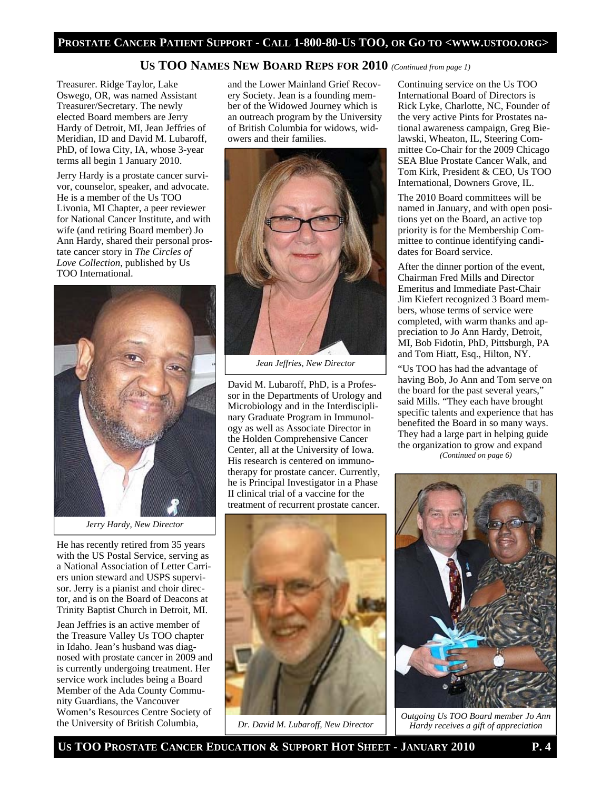## **US TOO NAMES NEW BOARD REPS FOR 2010** *(Continued from page 1)*

Treasurer. Ridge Taylor, Lake Oswego, OR, was named Assistant Treasurer/Secretary. The newly elected Board members are Jerry Hardy of Detroit, MI, Jean Jeffries of Meridian, ID and David M. Lubaroff, PhD, of Iowa City, IA, whose 3-year terms all begin 1 January 2010.

Jerry Hardy is a prostate cancer survivor, counselor, speaker, and advocate. He is a member of the Us TOO Livonia, MI Chapter, a peer reviewer for National Cancer Institute, and with wife (and retiring Board member) Jo Ann Hardy, shared their personal prostate cancer story in *The Circles of Love Collection*, published by Us TOO International.

![](_page_3_Picture_4.jpeg)

*Jerry Hardy, New Director* 

He has recently retired from 35 years with the US Postal Service, serving as a National Association of Letter Carriers union steward and USPS supervisor. Jerry is a pianist and choir director, and is on the Board of Deacons at Trinity Baptist Church in Detroit, MI.

Jean Jeffries is an active member of the Treasure Valley Us TOO chapter in Idaho. Jean's husband was diagnosed with prostate cancer in 2009 and is currently undergoing treatment. Her service work includes being a Board Member of the Ada County Community Guardians, the Vancouver Women's Resources Centre Society of the University of British Columbia,

and the Lower Mainland Grief Recovery Society. Jean is a founding member of the Widowed Journey which is an outreach program by the University of British Columbia for widows, widowers and their families.

![](_page_3_Picture_9.jpeg)

*Jean Jeffries, New Director* 

David M. Lubaroff, PhD, is a Professor in the Departments of Urology and Microbiology and in the Interdisciplinary Graduate Program in Immunology as well as Associate Director in the Holden Comprehensive Cancer Center, all at the University of Iowa. His research is centered on immunotherapy for prostate cancer. Currently, he is Principal Investigator in a Phase II clinical trial of a vaccine for the treatment of recurrent prostate cancer.

![](_page_3_Picture_12.jpeg)

*Dr. David M. Lubaroff, New Director* 

Continuing service on the Us TOO International Board of Directors is Rick Lyke, Charlotte, NC, Founder of the very active Pints for Prostates national awareness campaign, Greg Bielawski, Wheaton, IL, Steering Committee Co-Chair for the 2009 Chicago SEA Blue Prostate Cancer Walk, and Tom Kirk, President & CEO, Us TOO International, Downers Grove, IL.

The 2010 Board committees will be named in January, and with open positions yet on the Board, an active top priority is for the Membership Committee to continue identifying candidates for Board service.

After the dinner portion of the event, Chairman Fred Mills and Director Emeritus and Immediate Past-Chair Jim Kiefert recognized 3 Board members, whose terms of service were completed, with warm thanks and appreciation to Jo Ann Hardy, Detroit, MI, Bob Fidotin, PhD, Pittsburgh, PA and Tom Hiatt, Esq., Hilton, NY.

"Us TOO has had the advantage of having Bob, Jo Ann and Tom serve on the board for the past several years," said Mills. "They each have brought specific talents and experience that has benefited the Board in so many ways. They had a large part in helping guide the organization to grow and expand *(Continued on page 6)* 

*Outgoing Us TOO Board member Jo Ann Hardy receives a gift of appreciation*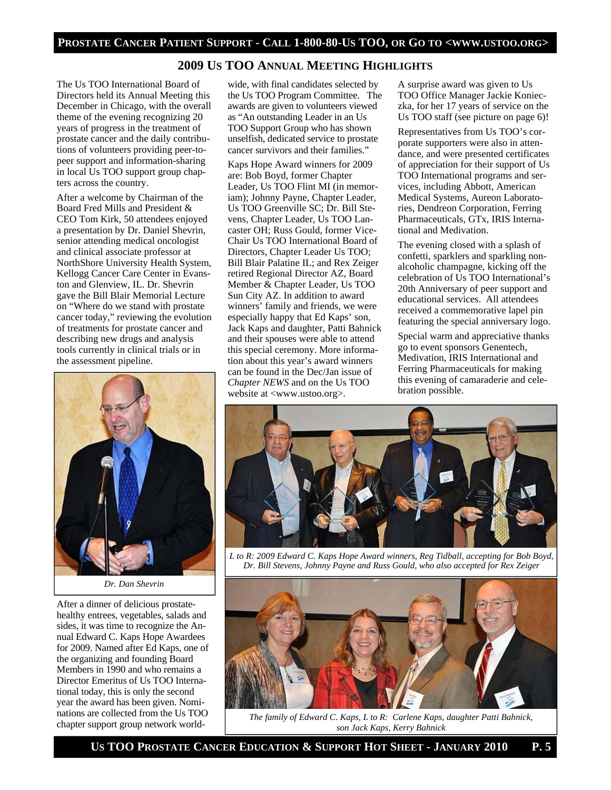## **2009 US TOO ANNUAL MEETING HIGHLIGHTS**

The Us TOO International Board of Directors held its Annual Meeting this December in Chicago, with the overall theme of the evening recognizing 20 years of progress in the treatment of prostate cancer and the daily contributions of volunteers providing peer-topeer support and information-sharing in local Us TOO support group chapters across the country.

After a welcome by Chairman of the Board Fred Mills and President & CEO Tom Kirk, 50 attendees enjoyed a presentation by Dr. Daniel Shevrin, senior attending medical oncologist and clinical associate professor at NorthShore University Health System, Kellogg Cancer Care Center in Evanston and Glenview, IL. Dr. Shevrin gave the Bill Blair Memorial Lecture on "Where do we stand with prostate cancer today," reviewing the evolution of treatments for prostate cancer and describing new drugs and analysis tools currently in clinical trials or in the assessment pipeline.

![](_page_4_Picture_4.jpeg)

After a dinner of delicious prostatehealthy entrees, vegetables, salads and sides, it was time to recognize the Annual Edward C. Kaps Hope Awardees for 2009. Named after Ed Kaps, one of the organizing and founding Board Members in 1990 and who remains a Director Emeritus of Us TOO International today, this is only the second year the award has been given. Nominations are collected from the Us TOO chapter support group network worldwide, with final candidates selected by the Us TOO Program Committee. The awards are given to volunteers viewed as "An outstanding Leader in an Us TOO Support Group who has shown unselfish, dedicated service to prostate cancer survivors and their families."

Kaps Hope Award winners for 2009 are: Bob Boyd, former Chapter Leader, Us TOO Flint MI (in memoriam); Johnny Payne, Chapter Leader, Us TOO Greenville SC; Dr. Bill Stevens, Chapter Leader, Us TOO Lancaster OH; Russ Gould, former Vice-Chair Us TOO International Board of Directors, Chapter Leader Us TOO; Bill Blair Palatine IL; and Rex Zeiger retired Regional Director AZ, Board Member & Chapter Leader, Us TOO Sun City AZ. In addition to award winners' family and friends, we were especially happy that Ed Kaps' son, Jack Kaps and daughter, Patti Bahnick and their spouses were able to attend this special ceremony. More information about this year's award winners can be found in the Dec/Jan issue of *Chapter NEWS* and on the Us TOO website at <www.ustoo.org>.

A surprise award was given to Us TOO Office Manager Jackie Konieczka, for her 17 years of service on the Us TOO staff (see picture on page 6)!

Representatives from Us TOO's corporate supporters were also in attendance, and were presented certificates of appreciation for their support of Us TOO International programs and services, including Abbott, American Medical Systems, Aureon Laboratories, Dendreon Corporation, Ferring Pharmaceuticals, GTx, IRIS International and Medivation.

The evening closed with a splash of confetti, sparklers and sparkling nonalcoholic champagne, kicking off the celebration of Us TOO International's 20th Anniversary of peer support and educational services. All attendees received a commemorative lapel pin featuring the special anniversary logo.

Special warm and appreciative thanks go to event sponsors Genentech, Medivation, IRIS International and Ferring Pharmaceuticals for making this evening of camaraderie and celebration possible.

![](_page_4_Picture_12.jpeg)

*L to R: 2009 Edward C. Kaps Hope Award winners, Reg Tidball, accepting for Bob Boyd, Dr. Bill Stevens, Johnny Payne and Russ Gould, who also accepted for Rex Zeiger* 

![](_page_4_Picture_14.jpeg)

*The family of Edward C. Kaps, L to R: Carlene Kaps, daughter Patti Bahnick, son Jack Kaps, Kerry Bahnick*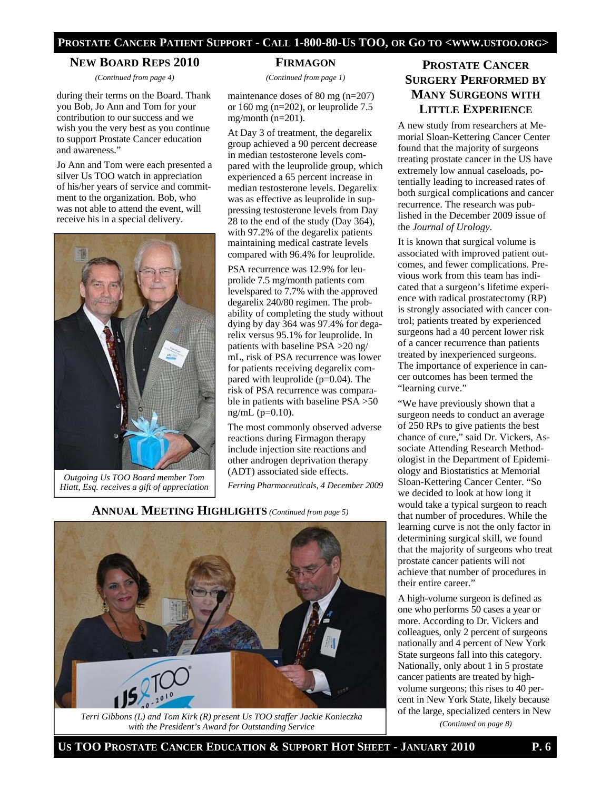#### **NEW BOARD REPS 2010**

*(Continued from page 4)* 

during their terms on the Board. Thank you Bob, Jo Ann and Tom for your contribution to our success and we wish you the very best as you continue to support Prostate Cancer education and awareness."

Jo Ann and Tom were each presented a silver Us TOO watch in appreciation of his/her years of service and commitment to the organization. Bob, who was not able to attend the event, will receive his in a special delivery.

![](_page_5_Picture_5.jpeg)

*Outgoing Us TOO Board member Tom Hiatt, Esq. receives a gift of appreciation* 

#### **FIRMAGON**

*(Continued from page 1)* 

maintenance doses of 80 mg (n=207) or 160 mg (n=202), or leuprolide  $7.5$  $mg/month (n=201)$ .

At Day 3 of treatment, the degarelix group achieved a 90 percent decrease in median testosterone levels compared with the leuprolide group, which experienced a 65 percent increase in median testosterone levels. Degarelix was as effective as leuprolide in suppressing testosterone levels from Day 28 to the end of the study (Day 364), with 97.2% of the degarelix patients maintaining medical castrate levels compared with 96.4% for leuprolide.

PSA recurrence was 12.9% for leuprolide 7.5 mg/month patients com levelspared to 7.7% with the approved degarelix 240/80 regimen. The probability of completing the study without dying by day 364 was 97.4% for degarelix versus 95.1% for leuprolide. In patients with baseline PSA >20 ng/ mL, risk of PSA recurrence was lower for patients receiving degarelix compared with leuprolide  $(p=0.04)$ . The risk of PSA recurrence was comparable in patients with baseline PSA >50  $ng/mL (p=0.10).$ 

The most commonly observed adverse reactions during Firmagon therapy include injection site reactions and other androgen deprivation therapy (ADT) associated side effects.

*Ferring Pharmaceuticals, 4 December 2009* 

![](_page_5_Picture_14.jpeg)

**ANNUAL MEETING HIGHLIGHTS** *(Continued from page 5)* 

![](_page_5_Picture_15.jpeg)

*(Continued on page 8) Terri Gibbons (L) and Tom Kirk (R) present Us TOO staffer Jackie Konieczka with the President's Award for Outstanding Service* 

# **PROSTATE CANCER SURGERY PERFORMED BY MANY SURGEONS WITH LITTLE EXPERIENCE**

A new study from researchers at Memorial Sloan-Kettering Cancer Center found that the majority of surgeons treating prostate cancer in the US have extremely low annual caseloads, potentially leading to increased rates of both surgical complications and cancer recurrence. The research was published in the December 2009 issue of the *Journal of Urology*.

It is known that surgical volume is associated with improved patient outcomes, and fewer complications. Previous work from this team has indicated that a surgeon's lifetime experience with radical prostatectomy (RP) is strongly associated with cancer control; patients treated by experienced surgeons had a 40 percent lower risk of a cancer recurrence than patients treated by inexperienced surgeons. The importance of experience in cancer outcomes has been termed the "learning curve."

"We have previously shown that a surgeon needs to conduct an average of 250 RPs to give patients the best chance of cure," said Dr. Vickers, Associate Attending Research Methodologist in the Department of Epidemiology and Biostatistics at Memorial Sloan-Kettering Cancer Center. "So we decided to look at how long it would take a typical surgeon to reach that number of procedures. While the learning curve is not the only factor in determining surgical skill, we found that the majority of surgeons who treat prostate cancer patients will not achieve that number of procedures in their entire career."

A high-volume surgeon is defined as one who performs 50 cases a year or more. According to Dr. Vickers and colleagues, only 2 percent of surgeons nationally and 4 percent of New York State surgeons fall into this category. Nationally, only about 1 in 5 prostate cancer patients are treated by highvolume surgeons; this rises to 40 percent in New York State, likely because of the large, specialized centers in New

**US TOO PROSTATE CANCER EDUCATION & SUPPORT HOT SHEET - JANUARY 2010 P. 6**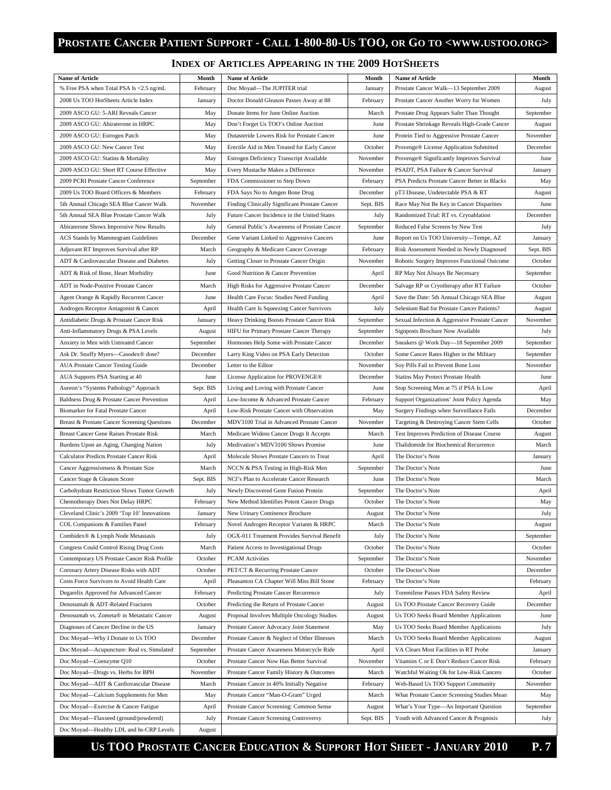# **PROSTATE CANCER PATIENT SUPPORT - CALL 1-800-80-US TOO, OR GO TO <WWW.USTOO.ORG>**

#### **INDEX OF ARTICLES APPEARING IN THE 2009 HOTSHEETS**

| <b>Name of Article</b>                                                    | Month                 | <b>Name of Article</b>                                                                    | Month             | <b>Name of Article</b>                                                          | Month             |
|---------------------------------------------------------------------------|-----------------------|-------------------------------------------------------------------------------------------|-------------------|---------------------------------------------------------------------------------|-------------------|
| % Free PSA when Total PSA Is <2.5 ng/mL                                   | February              | Doc Moyad-The JUPITER trial                                                               | January           | Prostate Cancer Walk-13 September 2009                                          | August            |
| 2008 Us TOO HotSheets Article Index                                       | January               | Doctor Donald Gleason Passes Away at 88                                                   | February          | Prostate Cancer Another Worry for Women                                         | July              |
| 2009 ASCO GU: 5-ARI Reveals Cancer                                        | May                   | Donate Items for June Online Auction                                                      | March             | Prostate Drug Appears Safer Than Thought                                        | September         |
| 2009 ASCO GU: Abiraterone in HRPC                                         | May                   | Don't Forget Us TOO's Online Auction                                                      | June              | Prostate Shrinkage Reveals High-Grade Cancer                                    | August            |
| 2009 ASCO GU: Estrogen Patch                                              | May                   | Dutasteride Lowers Risk for Prostate Cancer                                               | June              | Protein Tied to Aggressive Prostate Cancer                                      | November          |
| 2009 ASCO GU: New Cancer Test                                             | May                   | Erectile Aid in Men Treated for Early Cancer                                              | October           | Provenge® License Application Submitted                                         | December          |
| 2009 ASCO GU: Statins & Mortality                                         | May                   | Estrogen Deficiency Transcript Available                                                  | November          | Provenge <sup>®</sup> Significantly Improves Survival                           | June              |
| 2009 ASCO GU: Short RT Course Effective                                   | May                   | Every Mustache Makes a Difference                                                         | November          | PSADT, PSA Failure & Cancer Survival                                            | January           |
| 2009 PCRI Prostate Cancer Conference                                      | September             | FDA Commissioner to Step Down                                                             | February          | PSA Predicts Prostate Cancer Better in Blacks                                   | May               |
| 2009 Us TOO Board Officers & Members                                      | February              | FDA Says No to Amgen Bone Drug                                                            | December          | pT3 Disease, Undetectable PSA & RT                                              | August            |
| 5th Annual Chicago SEA Blue Cancer Walk                                   | November              | Finding Clinically Significant Prostate Cancer                                            | Sept. BIS         | Race May Not Be Key in Cancer Disparities                                       | June              |
| 5th Annual SEA Blue Prostate Cancer Walk                                  | July                  | Future Cancer Incidence in the United States                                              | July              | Randomized Trial: RT vs. Cryoablation                                           | December          |
| Abiraterone Shows Impressive New Results                                  | July                  | General Public's Awareness of Prostate Cancer                                             | September         | Reduced False Screens by New Test                                               | July              |
| ACS Stands by Mammogram Guidelines                                        | December              | Gene Variant Linked to Aggressive Cancers                                                 | June              | Report on Us TOO University—Tempe, AZ                                           | January           |
| Adjuvant RT Improves Survival after RP                                    | March                 | Geography & Medicare Cancer Coverage                                                      | February          | Risk Assessment Needed in Newly Diagnosed                                       | Sept. BIS         |
| ADT & Cardiovascular Disease and Diabetes                                 | July                  | Getting Closer to Prostate Cancer Origin                                                  | November          | Robotic Surgery Improves Functional Outcome                                     | October           |
| ADT & Risk of Bone, Heart Morbidity                                       | June                  | Good Nutrition & Cancer Prevention                                                        | April             | RP May Not Always Be Necessary                                                  | September         |
| ADT in Node-Positive Prostate Cancer                                      | March                 | High Risks for Aggressive Prostate Cancer                                                 | December          | Salvage RP or Cryotherapy after RT Failure                                      | October           |
| Agent Orange & Rapidly Recurrent Cancer                                   | June                  | Health Care Focus: Studies Need Funding                                                   | April             | Save the Date: 5th Annual Chicago SEA Blue                                      | August            |
| Androgen Receptor Antagonist & Cancer                                     | April                 | Health Care Is Squeezing Cancer Survivors                                                 | July              | Selenium Bad for Prostate Cancer Patients?                                      | August            |
| Antidiabetic Drugs & Prostate Cancer Risk                                 | January               | Heavy Drinking Boosts Prostate Cancer Risk                                                | September         | Sexual Infection & Aggressive Prostate Cancer                                   | November          |
| Anti-Inflammatory Drugs & PSA Levels                                      | August                | HIFU for Primary Prostate Cancer Therapy                                                  | September         | Signposts Brochure Now Available                                                | July              |
| Anxiety in Men with Untreated Cancer                                      | September             | Hormones Help Some with Prostate Cancer                                                   | December          | Sneakers @ Work Day—18 September 2009                                           | September         |
| Ask Dr. Snuffy Myers-Casodex® dose?                                       | December              | Larry King Video on PSA Early Detection                                                   | October           | Some Cancer Rates Higher in the Military                                        | September         |
| <b>AUA Prostate Cancer Testing Guide</b>                                  | December              | Letter to the Editor                                                                      | November          | Soy Pills Fail to Prevent Bone Loss                                             | November          |
| AUA Supports PSA Starting at 40                                           | June                  | License Application for PROVENGE®                                                         | December          | Statins May Protect Prostate Health                                             | June              |
| Aureon's "Systems Pathology" Approach                                     | Sept. BIS             | Living and Loving with Prostate Cancer                                                    | June              | Stop Screening Men at 75 if PSA Is Low                                          | April             |
| Baldness Drug & Prostate Cancer Prevention                                | April                 | Low-Income & Advanced Prostate Cancer                                                     | February          | Support Organizations' Joint Policy Agenda                                      | May               |
| <b>Biomarker for Fatal Prostate Cancer</b>                                | April                 | Low-Risk Prostate Cancer with Observation                                                 | May               | Surgery Findings when Surveillance Fails                                        | December          |
| Breast & Prostate Cancer Screening Questions                              | December              | MDV3100 Trial in Advanced Prostate Cancer                                                 | November          | Targeting & Destroying Cancer Stem Cells                                        | October           |
| Breast Cancer Gene Raises Prostate Risk                                   | March                 | Medicare Widens Cancer Drugs It Accepts                                                   | March             | Test Improves Prediction of Disease Course                                      | August            |
| Burdens Upon an Aging, Changing Nation                                    | July                  | Medivation's MDV3100 Shows Promise                                                        | June              | Thalidomide for Biochemical Recurrence                                          | March             |
| Calculator Predicts Prostate Cancer Risk                                  | April                 | Molecule Shows Prostate Cancers to Treat                                                  | April             | The Doctor's Note                                                               | January           |
| Cancer Aggressiveness & Prostate Size                                     | March                 | NCCN & PSA Testing in High-Risk Men                                                       | September         | The Doctor's Note                                                               | June              |
| Cancer Stage & Gleason Score                                              | Sept. BIS             | NCI's Plan to Accelerate Cancer Research                                                  | June              | The Doctor's Note                                                               | March             |
| Carbohydrate Restriction Slows Tumor Growth                               | July                  | Newly Discovered Gene Fusion Protein                                                      | September         | The Doctor's Note                                                               | April             |
| Chemotherapy Does Not Delay HRPC                                          | February              | New Method Identifies Potent Cancer Drugs                                                 | October           | The Doctor's Note                                                               | May               |
| Cleveland Clinic's 2009 'Top 10' Innovations                              | January               | New Urinary Continence Brochure                                                           | August            | The Doctor's Note                                                               | July              |
| COL Companions & Families Panel                                           | February              | Novel Androgen Receptor Variants & HRPC                                                   | March             | The Doctor's Note                                                               | August            |
| Combidex® & Lymph Node Metastasis                                         | July                  | OGX-011 Treatment Provides Survival Benefit                                               | July              | The Doctor's Note                                                               | September         |
| Congress Could Control Rising Drug Costs                                  | March                 | Patient Access to Investigational Drugs                                                   | October           | The Doctor's Note                                                               | October           |
| Contemporary US Prostate Cancer Risk Profile                              | October               | <b>PCAM</b> Activities                                                                    | September         | The Doctor's Note                                                               | November          |
| Coronary Artery Disease Risks with ADT                                    | October               | PET/CT & Recurring Prostate Cancer                                                        | October           | The Doctor's Note                                                               | December          |
| Costs Force Survivors to Avoid Health Care                                | April                 | Pleasanton CA Chapter Will Miss Bill Stone                                                | February          | The Doctor's Note                                                               | February          |
| Degarelix Approved for Advanced Cancer                                    | February              | Predicting Prostate Cancer Recurrence                                                     | July              | Toremifene Passes FDA Safety Review                                             | April             |
| Denosumab & ADT-Related Fractures                                         | October               | Predicting the Return of Prostate Cancer                                                  | August            | Us TOO Prostate Cancer Recovery Guide                                           | December          |
| Denosumab vs. Zometa® in Metastatic Cancer                                | August                | Proposal Involves Multiple Oncology Studies                                               | August            | Us TOO Seeks Board Member Applications                                          | June              |
|                                                                           | January               |                                                                                           | May               |                                                                                 | July              |
| Diagnoses of Cancer Decline in the US<br>Doc Moyad-Why I Donate to Us TOO |                       | Prostate Cancer Advocacy Joint Statement                                                  |                   | Us TOO Seeks Board Member Applications                                          |                   |
| Doc Moyad—Acupuncture: Real vs. Simulated                                 | December<br>September | Prostate Cancer & Neglect of Other Illnesses<br>Prostate Cancer Awareness Motorcycle Ride | March<br>April    | Us TOO Seeks Board Member Applications<br>VA Clears Most Facilities in RT Probe | August<br>January |
| Doc Moyad-Coenzyme Q10                                                    | October               | Prostate Cancer Now Has Better Survival                                                   | November          | Vitamins C or E Don't Reduce Cancer Risk                                        | February          |
| Doc Moyad-Drugs vs. Herbs for BPH                                         | November              | Prostate Cancer Family History & Outcomes                                                 | March             | Watchful Waiting Ok for Low-Risk Cancers                                        | October           |
|                                                                           |                       |                                                                                           |                   |                                                                                 |                   |
| Doc Moyad-ADT & Cardiovascular Disease                                    | March                 | Prostate Cancer in 40% Initially Negative                                                 | February<br>March | Web-Based Us TOO Support Community                                              | November          |
| Doc Moyad-Calcium Supplements for Men                                     | May                   | Prostate Cancer "Man-O-Gram" Urged                                                        |                   | What Prostate Cancer Screening Studies Mean                                     | May               |
| Doc Moyad—Exercise & Cancer Fatigue                                       | April                 | Prostate Cancer Screening: Common Sense                                                   | August            | What's Your Type-An Important Question                                          | September         |
| Doc Moyad—Flaxseed (ground/powdered)                                      | July                  | Prostate Cancer Screening Controversy                                                     | Sept. BIS         | Youth with Advanced Cancer & Prognosis                                          | July              |
| Doc Moyad-Healthy LDL and hs-CRP Levels                                   | August                |                                                                                           |                   |                                                                                 |                   |

 **US TOO PROSTATE CANCER EDUCATION & SUPPORT HOT SHEET - JANUARY 2010 P. 7**